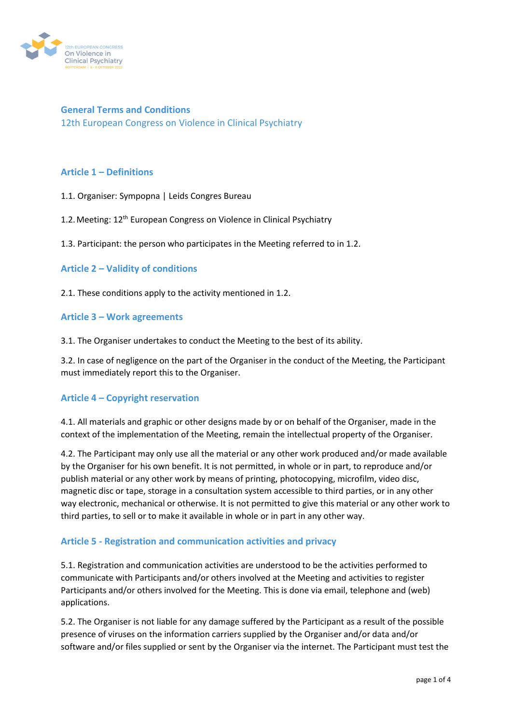

**General Terms and Conditions**  12th European Congress on Violence in Clinical Psychiatry

## **Article 1 – Definitions**

1.1. Organiser: Sympopna | Leids Congres Bureau

1.2. Meeting: 12<sup>th</sup> European Congress on Violence in Clinical Psychiatry

1.3. Participant: the person who participates in the Meeting referred to in 1.2.

## **Article 2 – Validity of conditions**

2.1. These conditions apply to the activity mentioned in 1.2.

#### **Article 3 – Work agreements**

3.1. The Organiser undertakes to conduct the Meeting to the best of its ability.

3.2. In case of negligence on the part of the Organiser in the conduct of the Meeting, the Participant must immediately report this to the Organiser.

### **Article 4 – Copyright reservation**

4.1. All materials and graphic or other designs made by or on behalf of the Organiser, made in the context of the implementation of the Meeting, remain the intellectual property of the Organiser.

4.2. The Participant may only use all the material or any other work produced and/or made available by the Organiser for his own benefit. It is not permitted, in whole or in part, to reproduce and/or publish material or any other work by means of printing, photocopying, microfilm, video disc, magnetic disc or tape, storage in a consultation system accessible to third parties, or in any other way electronic, mechanical or otherwise. It is not permitted to give this material or any other work to third parties, to sell or to make it available in whole or in part in any other way.

### **Article 5 - Registration and communication activities and privacy**

5.1. Registration and communication activities are understood to be the activities performed to communicate with Participants and/or others involved at the Meeting and activities to register Participants and/or others involved for the Meeting. This is done via email, telephone and (web) applications.

5.2. The Organiser is not liable for any damage suffered by the Participant as a result of the possible presence of viruses on the information carriers supplied by the Organiser and/or data and/or software and/or files supplied or sent by the Organiser via the internet. The Participant must test the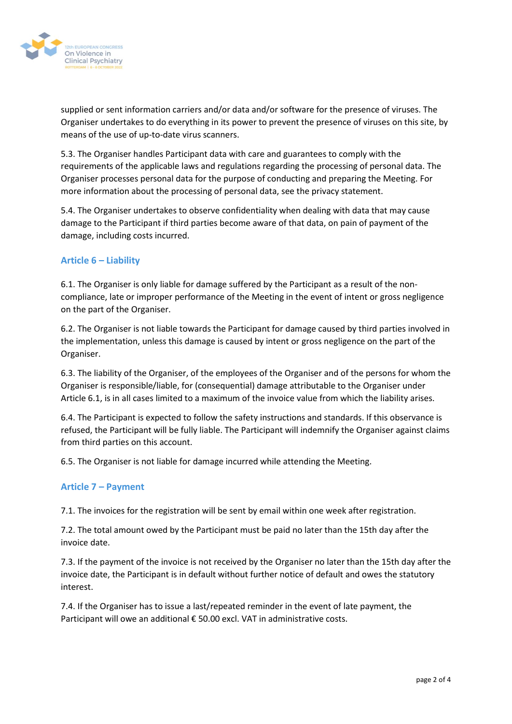

supplied or sent information carriers and/or data and/or software for the presence of viruses. The Organiser undertakes to do everything in its power to prevent the presence of viruses on this site, by means of the use of up-to-date virus scanners.

5.3. The Organiser handles Participant data with care and guarantees to comply with the requirements of the applicable laws and regulations regarding the processing of personal data. The Organiser processes personal data for the purpose of conducting and preparing the Meeting. For more information about the processing of personal data, see the privacy statement.

5.4. The Organiser undertakes to observe confidentiality when dealing with data that may cause damage to the Participant if third parties become aware of that data, on pain of payment of the damage, including costs incurred.

## **Article 6 – Liability**

6.1. The Organiser is only liable for damage suffered by the Participant as a result of the noncompliance, late or improper performance of the Meeting in the event of intent or gross negligence on the part of the Organiser.

6.2. The Organiser is not liable towards the Participant for damage caused by third parties involved in the implementation, unless this damage is caused by intent or gross negligence on the part of the Organiser.

6.3. The liability of the Organiser, of the employees of the Organiser and of the persons for whom the Organiser is responsible/liable, for (consequential) damage attributable to the Organiser under Article 6.1, is in all cases limited to a maximum of the invoice value from which the liability arises.

6.4. The Participant is expected to follow the safety instructions and standards. If this observance is refused, the Participant will be fully liable. The Participant will indemnify the Organiser against claims from third parties on this account.

6.5. The Organiser is not liable for damage incurred while attending the Meeting.

### **Article 7 – Payment**

7.1. The invoices for the registration will be sent by email within one week after registration.

7.2. The total amount owed by the Participant must be paid no later than the 15th day after the invoice date.

7.3. If the payment of the invoice is not received by the Organiser no later than the 15th day after the invoice date, the Participant is in default without further notice of default and owes the statutory interest.

7.4. If the Organiser has to issue a last/repeated reminder in the event of late payment, the Participant will owe an additional € 50.00 excl. VAT in administrative costs.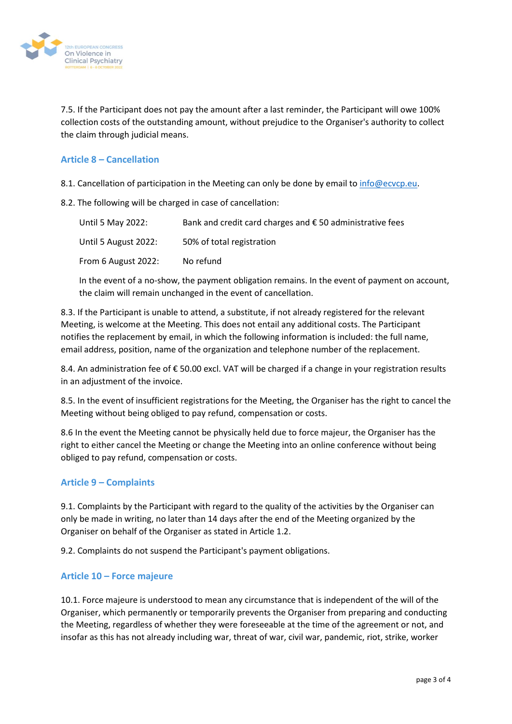

7.5. If the Participant does not pay the amount after a last reminder, the Participant will owe 100% collection costs of the outstanding amount, without prejudice to the Organiser's authority to collect the claim through judicial means.

## **Article 8 – Cancellation**

8.1. Cancellation of participation in the Meeting can only be done by email to [info@ecvcp.eu.](mailto:info@ecvcp.eu)

8.2. The following will be charged in case of cancellation:

| Until 5 May 2022:    | Bank and credit card charges and $\epsilon$ 50 administrative fees |
|----------------------|--------------------------------------------------------------------|
| Until 5 August 2022: | 50% of total registration                                          |
| From 6 August 2022:  | No refund                                                          |

In the event of a no-show, the payment obligation remains. In the event of payment on account, the claim will remain unchanged in the event of cancellation.

8.3. If the Participant is unable to attend, a substitute, if not already registered for the relevant Meeting, is welcome at the Meeting. This does not entail any additional costs. The Participant notifies the replacement by email, in which the following information is included: the full name, email address, position, name of the organization and telephone number of the replacement.

8.4. An administration fee of € 50.00 excl. VAT will be charged if a change in your registration results in an adjustment of the invoice.

8.5. In the event of insufficient registrations for the Meeting, the Organiser has the right to cancel the Meeting without being obliged to pay refund, compensation or costs.

8.6 In the event the Meeting cannot be physically held due to force majeur, the Organiser has the right to either cancel the Meeting or change the Meeting into an online conference without being obliged to pay refund, compensation or costs.

# **Article 9 – Complaints**

9.1. Complaints by the Participant with regard to the quality of the activities by the Organiser can only be made in writing, no later than 14 days after the end of the Meeting organized by the Organiser on behalf of the Organiser as stated in Article 1.2.

9.2. Complaints do not suspend the Participant's payment obligations.

### **Article 10 – Force majeure**

10.1. Force majeure is understood to mean any circumstance that is independent of the will of the Organiser, which permanently or temporarily prevents the Organiser from preparing and conducting the Meeting, regardless of whether they were foreseeable at the time of the agreement or not, and insofar as this has not already including war, threat of war, civil war, pandemic, riot, strike, worker